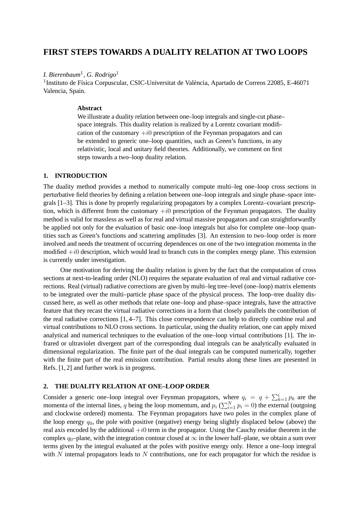# **FIRST STEPS TOWARDS A DUALITY RELATION AT TWO LOOPS**

## *I. Bierenbaum*<sup>1</sup> *, G. Rodrigo*<sup>1</sup>

<sup>1</sup>Instituto de Física Corpuscular, CSIC-Universitat de València, Apartado de Correos 22085, E-46071 Valencia, Spain.

#### **Abstract**

We illustrate a duality relation between one–loop integrals and single-cut phase– space integrals. This duality relation is realized by a Lorentz covariant modification of the customary  $+i0$  prescription of the Feynman propagators and can be extended to generic one–loop quantities, such as Green's functions, in any relativistic, local and unitary field theories. Additionally, we comment on first steps towards a two–loop duality relation.

## **1. INTRODUCTION**

The duality method provides a method to numerically compute multi–leg one–loop cross sections in perturbative field theories by defining a relation between one–loop integrals and single phase–space integrals [1–3]. This is done by properly regularizing propagators by a complex Lorentz–covariant prescription, which is different from the customary  $+i0$  prescription of the Feynman propagators. The duality method is valid for massless as well as for real and virtual massive propagators and can straightforwardly be applied not only for the evaluation of basic one–loop integrals but also for complete one–loop quantities such as Green's functions and scattering amplitudes [3]. An extension to two–loop order is more involved and needs the treatment of occurring dependences on one of the two integration momenta in the modified  $+i0$  description, which would lead to branch cuts in the complex energy plane. This extension is currently under investigation.

One motivation for deriving the duality relation is given by the fact that the computation of cross sections at next-to-leading order (NLO) requires the separate evaluation of real and virtual radiative corrections. Real (virtual) radiative corrections are given by multi–leg tree–level (one–loop) matrix elements to be integrated over the multi–particle phase space of the physical process. The loop–tree duality discussed here, as well as other methods that relate one–loop and phase–space integrals, have the attractive feature that they recast the virtual radiative corrections in a form that closely parallels the contribution of the real radiative corrections [1, 4–7]. This close correspondence can help to directly combine real and virtual contributions to NLO cross sections. In particular, using the duality relation, one can apply mixed analytical and numerical techniques to the evaluation of the one–loop virtual contributions [1]. The infrared or ultraviolet divergent part of the corresponding dual integrals can be analytically evaluated in dimensional regularization. The finite part of the dual integrals can be computed numerically, together with the finite part of the real emission contribution. Partial results along these lines are presented in Refs. [1, 2] and further work is in progress.

## **2. THE DUALITY RELATION AT ONE–LOOP ORDER**

Consider a generic one-loop integral over Feynman propagators, where  $q_i = q + \sum_{k=1}^{i} p_k$  are the momenta of the internal lines, q being the loop momentum, and  $p_i$  ( $\sum_{i=1}^{N} p_i = 0$ ) the external (outgoing and clockwise ordered) momenta. The Feynman propagators have two poles in the complex plane of the loop energy  $q_0$ , the pole with positive (negative) energy being slightly displaced below (above) the real axis encoded by the additional  $+i0$  term in the propagator. Using the Cauchy residue theorem in the complex  $q_0$ –plane, with the integration contour closed at  $\infty$  in the lower half–plane, we obtain a sum over terms given by the integral evaluated at the poles with positive energy only. Hence a one–loop integral with N internal propagators leads to N contributions, one for each propagator for which the residue is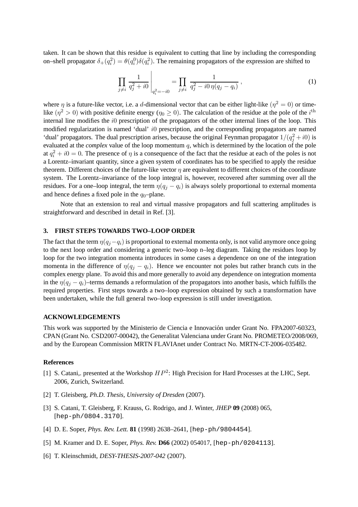taken. It can be shown that this residue is equivalent to cutting that line by including the corresponding on–shell propagator  $\delta_+(q_i^2) = \theta(q_i^0)\delta(q_i^2)$ . The remaining propagators of the expression are shifted to

$$
\prod_{j \neq i} \frac{1}{q_j^2 + i0} \bigg|_{q_i^2 = -i0} = \prod_{j \neq i} \frac{1}{q_j^2 - i0 \eta(q_j - q_i)},
$$
\n(1)

where  $\eta$  is a future-like vector, i.e. a d-dimensional vector that can be either light-like  $(\eta^2 = 0)$  or timelike  $(\eta^2 > 0)$  with positive definite energy  $(\eta_0 \ge 0)$ . The calculation of the residue at the pole of the  $i^{\text{th}}$ internal line modifies the i0 prescription of the propagators of the other internal lines of the loop. This modified regularization is named 'dual' i0 prescription, and the corresponding propagators are named 'dual' propagators. The dual prescription arises, because the original Feynman propagator  $1/(q_j^2 + i0)$  is evaluated at the *complex* value of the loop momentum q, which is determined by the location of the pole at  $q_i^2 + i0 = 0$ . The presence of  $\eta$  is a consequence of the fact that the residue at each of the poles is not a Lorentz–invariant quantity, since a given system of coordinates has to be specified to apply the residue theorem. Different choices of the future-like vector  $\eta$  are equivalent to different choices of the coordinate system. The Lorentz–invariance of the loop integral is, however, recovered after summing over all the residues. For a one–loop integral, the term  $\eta(q_i - q_i)$  is always solely proportional to external momenta and hence defines a fixed pole in the  $q_0$ -plane.

Note that an extension to real and virtual massive propagators and full scattering amplitudes is straightforward and described in detail in Ref. [3].

### **3. FIRST STEPS TOWARDS TWO–LOOP ORDER**

The fact that the term  $\eta(q_i-q_i)$  is proportional to external momenta only, is not valid anymore once going to the next loop order and considering a generic two–loop n–leg diagram. Taking the residues loop by loop for the two integration momenta introduces in some cases a dependence on one of the integration momenta in the difference of  $\eta(q_i - q_i)$ . Hence we encounter not poles but rather branch cuts in the complex energy plane. To avoid this and more generally to avoid any dependence on integration momenta in the  $\eta(q_i - q_i)$ –terms demands a reformulation of the propagators into another basis, which fulfills the required properties. First steps towards a two–loop expression obtained by such a transformation have been undertaken, while the full general two–loop expression is still under investigation.

#### **ACKNOWLEDGEMENTS**

This work was supported by the Ministerio de Ciencia e Innovación under Grant No. FPA2007-60323, CPAN (Grant No. CSD2007-00042), the Generalitat Valenciana under Grant No. PROMETEO/2008/069, and by the European Commission MRTN FLAVIAnet under Contract No. MRTN-CT-2006-035482.

#### **References**

- [1] S. Catani,. presented at the Workshop  $HP^2$ : High Precision for Hard Processes at the LHC, Sept. 2006, Zurich, Switzerland.
- [2] T. Gleisberg, *Ph.D. Thesis, University of Dresden* (2007).
- [3] S. Catani, T. Gleisberg, F. Krauss, G. Rodrigo, and J. Winter, *JHEP* **09** (2008) 065, [hep-ph/0804.3170].
- [4] D. E. Soper, *Phys. Rev. Lett.* **81** (1998) 2638–2641, [hep-ph/9804454].
- [5] M. Kramer and D. E. Soper, *Phys. Rev.* **D66** (2002) 054017, [hep-ph/0204113].
- [6] T. Kleinschmidt, *DESY-THESIS-2007-042* (2007).